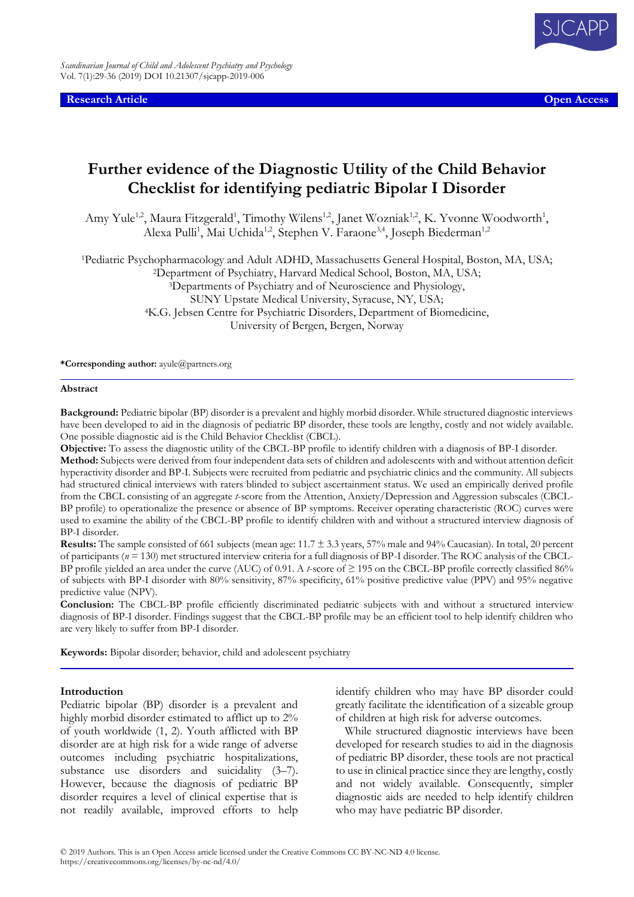**Research Article Open Access**

# **Further evidence of the Diagnostic Utility of the Child Behavior Checklist for identifying pediatric Bipolar I Disorder**

Amy Yule<sup>1,2</sup>, Maura Fitzgerald<sup>1</sup>, Timothy Wilens<sup>1,2</sup>, Janet Wozniak<sup>1,2</sup>, K. Yvonne Woodworth<sup>1</sup>, Alexa Pulli<sup>1</sup>, Mai Uchida<sup>1,2</sup>, Stephen V. Faraone<sup>3,4</sup>, Joseph Biederman<sup>1,2</sup>

<sup>1</sup>Pediatric Psychopharmacology and Adult ADHD, Massachusetts General Hospital, Boston, MA, USA; <sup>2</sup>Department of Psychiatry, Harvard Medical School, Boston, MA, USA;

<sup>3</sup>Departments of Psychiatry and of Neuroscience and Physiology, SUNY Upstate Medical University, Syracuse, NY, USA; <sup>4</sup>K.G. Jebsen Centre for Psychiatric Disorders, Department of Biomedicine,

University of Bergen, Bergen, Norway

**\*Corresponding author:** ayule@partners.org

#### **Abstract**

**Background:** Pediatric bipolar (BP) disorder is a prevalent and highly morbid disorder. While structured diagnostic interviews have been developed to aid in the diagnosis of pediatric BP disorder, these tools are lengthy, costly and not widely available. One possible diagnostic aid is the Child Behavior Checklist (CBCL).

**Objective:** To assess the diagnostic utility of the CBCL-BP profile to identify children with a diagnosis of BP-I disorder.

**Method:** Subjects were derived from four independent data sets of children and adolescents with and without attention deficit hyperactivity disorder and BP-I. Subjects were recruited from pediatric and psychiatric clinics and the community. All subjects had structured clinical interviews with raters blinded to subject ascertainment status. We used an empirically derived profile from the CBCL consisting of an aggregate *t*-score from the Attention, Anxiety/Depression and Aggression subscales (CBCL-BP profile) to operationalize the presence or absence of BP symptoms. Receiver operating characteristic (ROC) curves were used to examine the ability of the CBCL-BP profile to identify children with and without a structured interview diagnosis of BP-I disorder.

**Results:** The sample consisted of 661 subjects (mean age: 11.7 ± 3.3 years, 57% male and 94% Caucasian). In total, 20 percent of participants (*n* = 130) met structured interview criteria for a full diagnosis of BP-I disorder. The ROC analysis of the CBCL-BP profile yielded an area under the curve (AUC) of 0.91. A *t*-score of ≥ 195 on the CBCL-BP profile correctly classified 86% of subjects with BP-I disorder with 80% sensitivity, 87% specificity, 61% positive predictive value (PPV) and 95% negative predictive value (NPV).

**Conclusion:** The CBCL-BP profile efficiently discriminated pediatric subjects with and without a structured interview diagnosis of BP-I disorder. Findings suggest that the CBCL-BP profile may be an efficient tool to help identify children who are very likely to suffer from BP-I disorder.

**Keywords:** Bipolar disorder; behavior, child and adolescent psychiatry

# **Introduction**

Pediatric bipolar (BP) disorder is a prevalent and highly morbid disorder estimated to afflict up to 2% of youth worldwide (1, 2). Youth afflicted with BP disorder are at high risk for a wide range of adverse outcomes including psychiatric hospitalizations, substance use disorders and suicidality  $(3-7)$ . However, because the diagnosis of pediatric BP disorder requires a level of clinical expertise that is not readily available, improved efforts to help

identify children who may have BP disorder could greatly facilitate the identification of a sizeable group of children at high risk for adverse outcomes.

While structured diagnostic interviews have been developed for research studies to aid in the diagnosis of pediatric BP disorder, these tools are not practical to use in clinical practice since they are lengthy, costly and not widely available. Consequently, simpler diagnostic aids are needed to help identify children who may have pediatric BP disorder.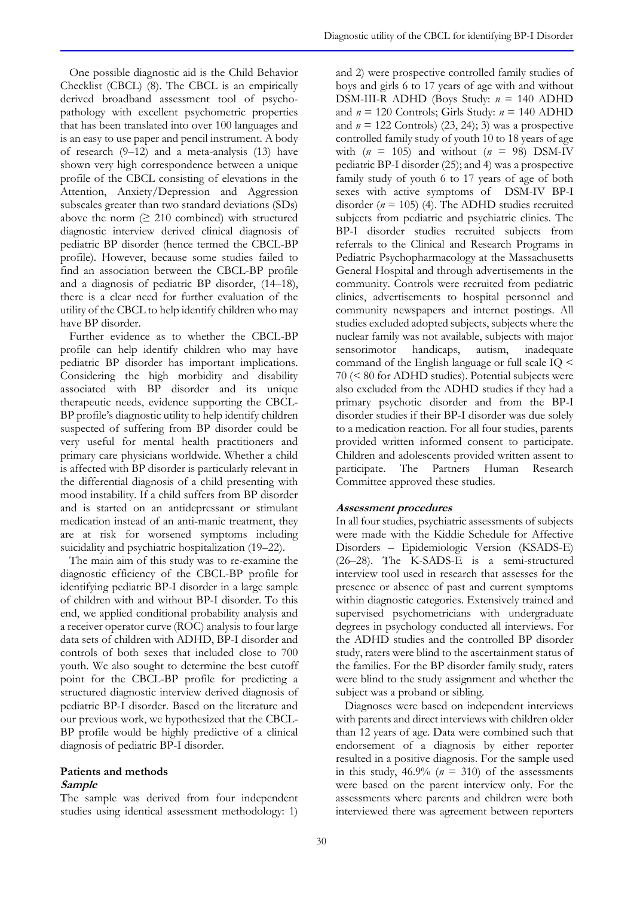One possible diagnostic aid is the Child Behavior Checklist (CBCL) (8). The CBCL is an empirically derived broadband assessment tool of psychopathology with excellent psychometric properties that has been translated into over 100 languages and is an easy to use paper and pencil instrument. A body of research (9–12) and a meta-analysis (13) have shown very high correspondence between a unique profile of the CBCL consisting of elevations in the Attention, Anxiety/Depression and Aggression subscales greater than two standard deviations (SDs) above the norm  $(≥ 210$  combined) with structured diagnostic interview derived clinical diagnosis of pediatric BP disorder (hence termed the CBCL-BP profile). However, because some studies failed to find an association between the CBCL-BP profile and a diagnosis of pediatric BP disorder, (14–18), there is a clear need for further evaluation of the utility of the CBCL to help identify children who may have BP disorder.

Further evidence as to whether the CBCL-BP profile can help identify children who may have pediatric BP disorder has important implications. Considering the high morbidity and disability associated with BP disorder and its unique therapeutic needs, evidence supporting the CBCL-BP profile's diagnostic utility to help identify children suspected of suffering from BP disorder could be very useful for mental health practitioners and primary care physicians worldwide. Whether a child is affected with BP disorder is particularly relevant in the differential diagnosis of a child presenting with mood instability. If a child suffers from BP disorder and is started on an antidepressant or stimulant medication instead of an anti-manic treatment, they are at risk for worsened symptoms including suicidality and psychiatric hospitalization (19–22).

The main aim of this study was to re-examine the diagnostic efficiency of the CBCL-BP profile for identifying pediatric BP-I disorder in a large sample of children with and without BP-I disorder. To this end, we applied conditional probability analysis and a receiver operator curve (ROC) analysis to four large data sets of children with ADHD, BP-I disorder and controls of both sexes that included close to 700 youth. We also sought to determine the best cutoff point for the CBCL-BP profile for predicting a structured diagnostic interview derived diagnosis of pediatric BP-I disorder. Based on the literature and our previous work, we hypothesized that the CBCL-BP profile would be highly predictive of a clinical diagnosis of pediatric BP-I disorder.

# **Patients and methods**

# **Sample**

The sample was derived from four independent studies using identical assessment methodology: 1) and 2) were prospective controlled family studies of boys and girls 6 to 17 years of age with and without DSM-III-R ADHD (Boys Study: *n* = 140 ADHD and  $n = 120$  Controls; Girls Study:  $n = 140$  ADHD and  $n = 122$  Controls) (23, 24); 3) was a prospective controlled family study of youth 10 to 18 years of age with  $(n = 105)$  and without  $(n = 98)$  DSM-IV pediatric BP-I disorder (25); and 4) was a prospective family study of youth 6 to 17 years of age of both sexes with active symptoms of DSM-IV BP-I disorder ( $n = 105$ ) (4). The ADHD studies recruited subjects from pediatric and psychiatric clinics. The BP-I disorder studies recruited subjects from referrals to the Clinical and Research Programs in Pediatric Psychopharmacology at the Massachusetts General Hospital and through advertisements in the community. Controls were recruited from pediatric clinics, advertisements to hospital personnel and community newspapers and internet postings. All studies excluded adopted subjects, subjects where the nuclear family was not available, subjects with major sensorimotor handicaps, autism, inadequate command of the English language or full scale IQ < 70 (< 80 for ADHD studies). Potential subjects were also excluded from the ADHD studies if they had a primary psychotic disorder and from the BP-I disorder studies if their BP-I disorder was due solely to a medication reaction. For all four studies, parents provided written informed consent to participate. Children and adolescents provided written assent to participate. The Partners Human Research Committee approved these studies.

# **Assessment procedures**

In all four studies, psychiatric assessments of subjects were made with the Kiddie Schedule for Affective Disorders – Epidemiologic Version (KSADS-E) (26–28). The K-SADS-E is a semi-structured interview tool used in research that assesses for the presence or absence of past and current symptoms within diagnostic categories. Extensively trained and supervised psychometricians with undergraduate degrees in psychology conducted all interviews. For the ADHD studies and the controlled BP disorder study, raters were blind to the ascertainment status of the families. For the BP disorder family study, raters were blind to the study assignment and whether the subject was a proband or sibling.

Diagnoses were based on independent interviews with parents and direct interviews with children older than 12 years of age. Data were combined such that endorsement of a diagnosis by either reporter resulted in a positive diagnosis. For the sample used in this study,  $46.9\%$  ( $n = 310$ ) of the assessments were based on the parent interview only. For the assessments where parents and children were both interviewed there was agreement between reporters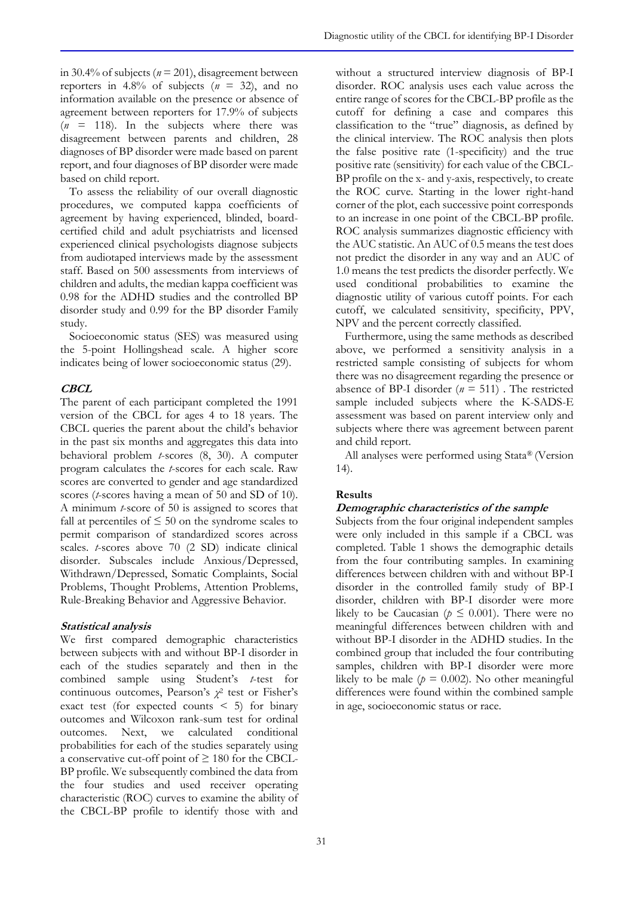in 30.4% of subjects (*n* = 201), disagreement between reporters in  $4.8\%$  of subjects ( $n = 32$ ), and no information available on the presence or absence of agreement between reporters for 17.9% of subjects  $(n = 118)$ . In the subjects where there was disagreement between parents and children, 28 diagnoses of BP disorder were made based on parent report, and four diagnoses of BP disorder were made based on child report.

To assess the reliability of our overall diagnostic procedures, we computed kappa coefficients of agreement by having experienced, blinded, boardcertified child and adult psychiatrists and licensed experienced clinical psychologists diagnose subjects from audiotaped interviews made by the assessment staff. Based on 500 assessments from interviews of children and adults, the median kappa coefficient was 0.98 for the ADHD studies and the controlled BP disorder study and 0.99 for the BP disorder Family study.

Socioeconomic status (SES) was measured using the 5-point Hollingshead scale. A higher score indicates being of lower socioeconomic status (29).

## **CBCL**

The parent of each participant completed the 1991 version of the CBCL for ages 4 to 18 years. The CBCL queries the parent about the child's behavior in the past six months and aggregates this data into behavioral problem *t*-scores (8, 30). A computer program calculates the *t*-scores for each scale. Raw scores are converted to gender and age standardized scores (*t*-scores having a mean of 50 and SD of 10). A minimum *t*-score of 50 is assigned to scores that fall at percentiles of  $\leq 50$  on the syndrome scales to permit comparison of standardized scores across scales. *t*-scores above 70 (2 SD) indicate clinical disorder. Subscales include Anxious/Depressed, Withdrawn/Depressed, Somatic Complaints, Social Problems, Thought Problems, Attention Problems, Rule-Breaking Behavior and Aggressive Behavior.

## **Statistical analysis**

We first compared demographic characteristics between subjects with and without BP-I disorder in each of the studies separately and then in the combined sample using Student's *t*-test for continuous outcomes, Pearson's *χ* 2 test or Fisher's exact test (for expected counts  $\leq 5$ ) for binary outcomes and Wilcoxon rank-sum test for ordinal outcomes. Next, we calculated conditional probabilities for each of the studies separately using a conservative cut-off point of  $\geq 180$  for the CBCL-BP profile. We subsequently combined the data from the four studies and used receiver operating characteristic (ROC) curves to examine the ability of the CBCL-BP profile to identify those with and

without a structured interview diagnosis of BP-I disorder. ROC analysis uses each value across the entire range of scores for the CBCL-BP profile as the cutoff for defining a case and compares this classification to the "true" diagnosis, as defined by the clinical interview. The ROC analysis then plots the false positive rate (1-specificity) and the true positive rate (sensitivity) for each value of the CBCL-BP profile on the x- and y-axis, respectively, to create the ROC curve. Starting in the lower right-hand corner of the plot, each successive point corresponds to an increase in one point of the CBCL-BP profile. ROC analysis summarizes diagnostic efficiency with the AUC statistic. An AUC of 0.5 means the test does not predict the disorder in any way and an AUC of 1.0 means the test predicts the disorder perfectly. We used conditional probabilities to examine the diagnostic utility of various cutoff points. For each cutoff, we calculated sensitivity, specificity, PPV, NPV and the percent correctly classified.

Furthermore, using the same methods as described above, we performed a sensitivity analysis in a restricted sample consisting of subjects for whom there was no disagreement regarding the presence or absence of BP-I disorder  $(n = 511)$ . The restricted sample included subjects where the K-SADS-E assessment was based on parent interview only and subjects where there was agreement between parent and child report.

All analyses were performed using Stata® (Version 14).

## **Results**

#### **Demographic characteristics of the sample**

Subjects from the four original independent samples were only included in this sample if a CBCL was completed. Table 1 shows the demographic details from the four contributing samples. In examining differences between children with and without BP-I disorder in the controlled family study of BP-I disorder, children with BP-I disorder were more likely to be Caucasian ( $p \leq 0.001$ ). There were no meaningful differences between children with and without BP-I disorder in the ADHD studies. In the combined group that included the four contributing samples, children with BP-I disorder were more likely to be male ( $p = 0.002$ ). No other meaningful differences were found within the combined sample in age, socioeconomic status or race.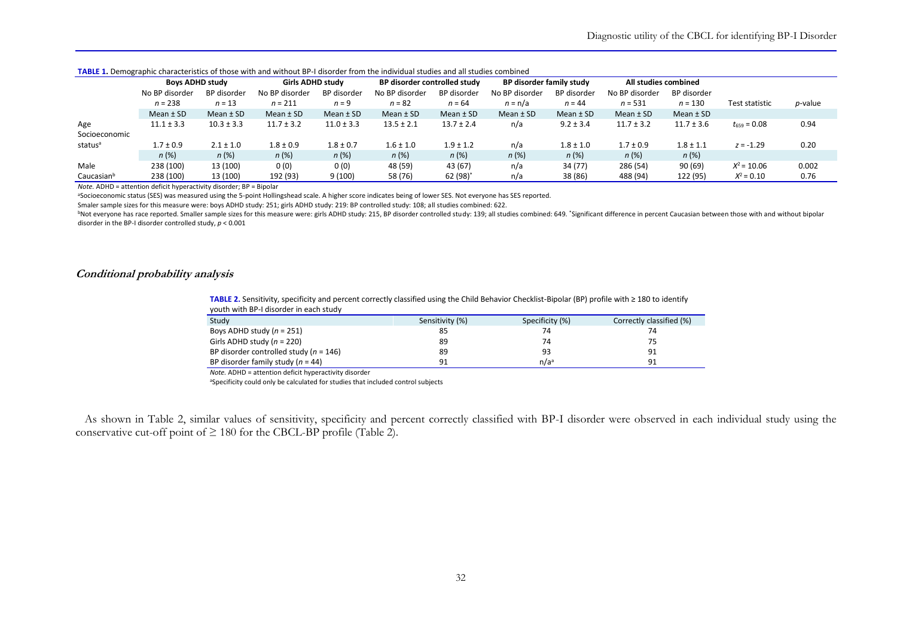| <b>INDLE 1.</b> DETROGRAPHIC CRAFACTISTICS OF LIDSE WILH AND WILHOUT DET UISOLUER TROFF LIGHTUR DESIGNIES AND AN STUDIOS COMMUNICU |                        |                |                  |                |                              |                |                          |               |                      |                |                  |         |
|------------------------------------------------------------------------------------------------------------------------------------|------------------------|----------------|------------------|----------------|------------------------------|----------------|--------------------------|---------------|----------------------|----------------|------------------|---------|
|                                                                                                                                    | <b>Boys ADHD study</b> |                | Girls ADHD study |                | BP disorder controlled study |                | BP disorder family study |               | All studies combined |                |                  |         |
|                                                                                                                                    | No BP disorder         | BP disorder    | No BP disorder   | BP disorder    | No BP disorder               | BP disorder    | No BP disorder           | BP disorder   | No BP disorder       | BP disorder    |                  |         |
|                                                                                                                                    | $n = 238$              | $n = 13$       | $n = 211$        | $n = 9$        | $n = 82$                     | $n = 64$       | $n = n/a$                | $n = 44$      | $n = 531$            | $n = 130$      | Test statistic   | p-value |
|                                                                                                                                    | Mean $\pm$ SD          | Mean $\pm$ SD  | Mean $±$ SD      | Mean $±$ SD    | Mean $\pm$ SD                | Mean $\pm$ SD  | Mean $\pm$ SD            | Mean $±$ SD   | Mean $±$ SD          | Mean $\pm$ SD  |                  |         |
| Age                                                                                                                                | $11.1 \pm 3.3$         | $10.3 \pm 3.3$ | $11.7 \pm 3.2$   | $11.0 \pm 3.3$ | $13.5 \pm 2.1$               | $13.7 \pm 2.4$ | n/a                      | $9.2 \pm 3.4$ | $11.7 \pm 3.2$       | $11.7 \pm 3.6$ | $t_{659} = 0.08$ | 0.94    |
| Socioeconomic                                                                                                                      |                        |                |                  |                |                              |                |                          |               |                      |                |                  |         |
| status <sup>a</sup>                                                                                                                | $1.7 \pm 0.9$          | $2.1 \pm 1.0$  | $1.8 \pm 0.9$    | $1.8 \pm 0.7$  | $1.6 \pm 1.0$                | $1.9 \pm 1.2$  | n/a                      | $1.8 \pm 1.0$ | $1.7 \pm 0.9$        | $1.8 \pm 1.1$  | $z = -1.29$      | 0.20    |
|                                                                                                                                    | n(%)                   | n(%)           | n(%)             | n(%)           | n(%)                         | n(%)           | n(%)                     | n(%)          | $n$ (%)              | n(%)           |                  |         |
| Male                                                                                                                               | 238 (100)              | 13 (100)       | 0(0)             | 0(0)           | 48 (59)                      | 43 (67)        | n/a                      | 34 (77)       | 286 (54)             | 90 (69)        | $X^2 = 10.06$    | 0.002   |
| Caucasianb                                                                                                                         | 238 (100)              | 13 (100)       | 192 (93)         | 9(100)         | 58 (76)                      | 62 $(98)^{*}$  | n/a                      | 38 (86)       | 488 (94)             | 122 (95)       | $X^2 = 0.10$     | 0.76    |

**TABLE 1.** Demographic characteristics of those with and without BP-I disorder from the individual studies and all studies combined

*Note.* ADHD = attention deficit hyperactivity disorder; BP = Bipolar

aSocioeconomic status (SES) was measured using the 5-point Hollingshead scale. A higher score indicates being of lower SES. Not everyone has SES reported.

Smaler sample sizes for this measure were: boys ADHD study: 251; girls ADHD study: 219: BP controlled study: 108; all studies combined: 622.

<sup>b</sup>Not everyone has race reported. Smaller sample sizes for this measure were: girls ADHD study: 215, BP disorder controlled study: 139; all studies combined: 649. "Significant difference in percent Caucasian between those disorder in the BP-I disorder controlled study, *p* < 0.001

#### **Conditional probability analysis**

**TABLE 2.** Sensitivity, specificity and percent correctly classified using the Child Behavior Checklist-Bipolar (BP) profile with ≥ 180 to identify youth with BP-I disorder in each study

| Study                                      | Sensitivity (%) | Specificity (%)  | Correctly classified (%) |
|--------------------------------------------|-----------------|------------------|--------------------------|
| Boys ADHD study $(n = 251)$                | 85              |                  | 74                       |
| Girls ADHD study $(n = 220)$               | 89              | 74               |                          |
| BP disorder controlled study ( $n = 146$ ) | 89              | 93               | 91                       |
| BP disorder family study $(n = 44)$        | 91              | n/a <sup>a</sup> | 91                       |

*Note.* ADHD = attention deficit hyperactivity disorder

aSpecificity could only be calculated for studies that included control subjects

As shown in Table 2, similar values of sensitivity, specificity and percent correctly classified with BP-I disorder were observed in each individual study using the conservative cut-off point of  $\geq 180$  for the CBCL-BP profile (Table 2).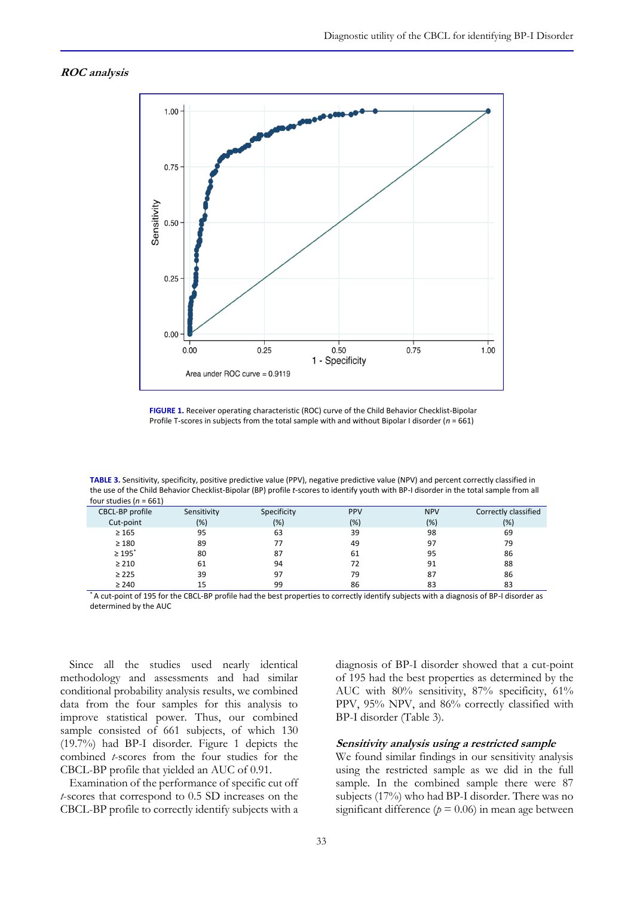## **ROC analysis**



**FIGURE 1.** Receiver operating characteristic (ROC) curve of the Child Behavior Checklist-Bipolar Profile T-scores in subjects from the total sample with and without Bipolar I disorder (*n* = 661)

**TABLE 3.** Sensitivity, specificity, positive predictive value (PPV), negative predictive value (NPV) and percent correctly classified in the use of the Child Behavior Checklist-Bipolar (BP) profile *t*-scores to identify youth with BP-I disorder in the total sample from all four studies (*n* = 661)

| CBCL-BP profile         | Sensitivity | Specificity | <b>PPV</b> | <b>NPV</b> | Correctly classified |
|-------------------------|-------------|-------------|------------|------------|----------------------|
| Cut-point               | (%)         | (%)         | (%)        | (%)        | $(\%)$               |
| $\geq 165$              | 95          | 63          | 39         | 98         | 69                   |
| $\geq 180$              | 89          | 77          | 49         | 97         | 79                   |
| $\geq 195$ <sup>*</sup> | 80          | 87          | 61         | 95         | 86                   |
| $\geq 210$              | 61          | 94          | 72         | 91         | 88                   |
| $\geq 225$              | 39          | 97          | 79         | 87         | 86                   |
| $\geq 240$              | 15          | 99          | 86         | 83         | 83                   |

\* A cut-point of 195 for the CBCL-BP profile had the best properties to correctly identify subjects with a diagnosis of BP-I disorder as determined by the AUC

Since all the studies used nearly identical methodology and assessments and had similar conditional probability analysis results, we combined data from the four samples for this analysis to improve statistical power. Thus, our combined sample consisted of 661 subjects, of which 130 (19.7%) had BP-I disorder. Figure 1 depicts the combined *t*-scores from the four studies for the CBCL-BP profile that yielded an AUC of 0.91.

Examination of the performance of specific cut off *t*-scores that correspond to 0.5 SD increases on the CBCL-BP profile to correctly identify subjects with a

diagnosis of BP-I disorder showed that a cut-point of 195 had the best properties as determined by the AUC with 80% sensitivity, 87% specificity, 61% PPV, 95% NPV, and 86% correctly classified with BP-I disorder (Table 3).

# **Sensitivity analysis using a restricted sample**

We found similar findings in our sensitivity analysis using the restricted sample as we did in the full sample. In the combined sample there were 87 subjects (17%) who had BP-I disorder. There was no significant difference ( $p = 0.06$ ) in mean age between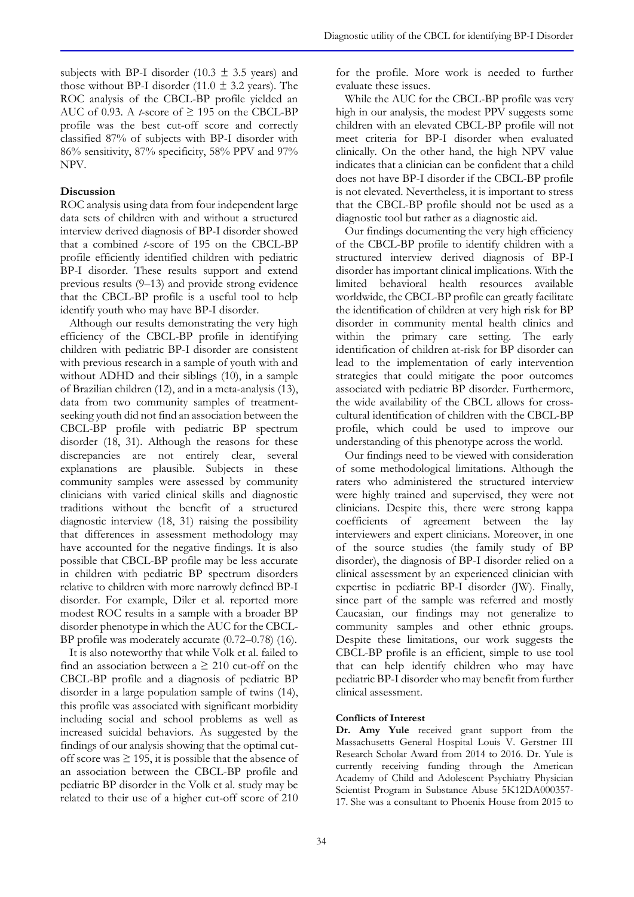subjects with BP-I disorder (10.3  $\pm$  3.5 years) and those without BP-I disorder (11.0  $\pm$  3.2 years). The ROC analysis of the CBCL-BP profile yielded an AUC of 0.93. A *t*-score of  $\geq$  195 on the CBCL-BP profile was the best cut-off score and correctly classified 87% of subjects with BP-I disorder with 86% sensitivity, 87% specificity, 58% PPV and 97% NPV.

# **Discussion**

ROC analysis using data from four independent large data sets of children with and without a structured interview derived diagnosis of BP-I disorder showed that a combined *t*-score of 195 on the CBCL-BP profile efficiently identified children with pediatric BP-I disorder. These results support and extend previous results (9–13) and provide strong evidence that the CBCL-BP profile is a useful tool to help identify youth who may have BP-I disorder.

Although our results demonstrating the very high efficiency of the CBCL-BP profile in identifying children with pediatric BP-I disorder are consistent with previous research in a sample of youth with and without ADHD and their siblings (10), in a sample of Brazilian children (12), and in a meta-analysis (13), data from two community samples of treatmentseeking youth did not find an association between the CBCL-BP profile with pediatric BP spectrum disorder (18, 31). Although the reasons for these discrepancies are not entirely clear, several explanations are plausible. Subjects in these community samples were assessed by community clinicians with varied clinical skills and diagnostic traditions without the benefit of a structured diagnostic interview (18, 31) raising the possibility that differences in assessment methodology may have accounted for the negative findings. It is also possible that CBCL-BP profile may be less accurate in children with pediatric BP spectrum disorders relative to children with more narrowly defined BP-I disorder. For example, Diler et al. reported more modest ROC results in a sample with a broader BP disorder phenotype in which the AUC for the CBCL-BP profile was moderately accurate (0.72–0.78) (16).

It is also noteworthy that while Volk et al. failed to find an association between  $a \geq 210$  cut-off on the CBCL-BP profile and a diagnosis of pediatric BP disorder in a large population sample of twins (14), this profile was associated with significant morbidity including social and school problems as well as increased suicidal behaviors. As suggested by the findings of our analysis showing that the optimal cutoff score was  $\geq$  195, it is possible that the absence of an association between the CBCL-BP profile and pediatric BP disorder in the Volk et al. study may be related to their use of a higher cut-off score of 210

for the profile. More work is needed to further evaluate these issues.

While the AUC for the CBCL-BP profile was very high in our analysis, the modest PPV suggests some children with an elevated CBCL-BP profile will not meet criteria for BP-I disorder when evaluated clinically. On the other hand, the high NPV value indicates that a clinician can be confident that a child does not have BP-I disorder if the CBCL-BP profile is not elevated. Nevertheless, it is important to stress that the CBCL-BP profile should not be used as a diagnostic tool but rather as a diagnostic aid.

Our findings documenting the very high efficiency of the CBCL-BP profile to identify children with a structured interview derived diagnosis of BP-I disorder has important clinical implications. With the limited behavioral health resources available worldwide, the CBCL-BP profile can greatly facilitate the identification of children at very high risk for BP disorder in community mental health clinics and within the primary care setting. The early identification of children at-risk for BP disorder can lead to the implementation of early intervention strategies that could mitigate the poor outcomes associated with pediatric BP disorder. Furthermore, the wide availability of the CBCL allows for crosscultural identification of children with the CBCL-BP profile, which could be used to improve our understanding of this phenotype across the world.

Our findings need to be viewed with consideration of some methodological limitations. Although the raters who administered the structured interview were highly trained and supervised, they were not clinicians. Despite this, there were strong kappa coefficients of agreement between the lay interviewers and expert clinicians. Moreover, in one of the source studies (the family study of BP disorder), the diagnosis of BP-I disorder relied on a clinical assessment by an experienced clinician with expertise in pediatric BP-I disorder (JW). Finally, since part of the sample was referred and mostly Caucasian, our findings may not generalize to community samples and other ethnic groups. Despite these limitations, our work suggests the CBCL-BP profile is an efficient, simple to use tool that can help identify children who may have pediatric BP-I disorder who may benefit from further clinical assessment.

## **Conflicts of Interest**

**Dr. Amy Yule** received grant support from the Massachusetts General Hospital Louis V. Gerstner III Research Scholar Award from 2014 to 2016. Dr. Yule is currently receiving funding through the American Academy of Child and Adolescent Psychiatry Physician Scientist Program in Substance Abuse 5K12DA000357- 17. She was a consultant to Phoenix House from 2015 to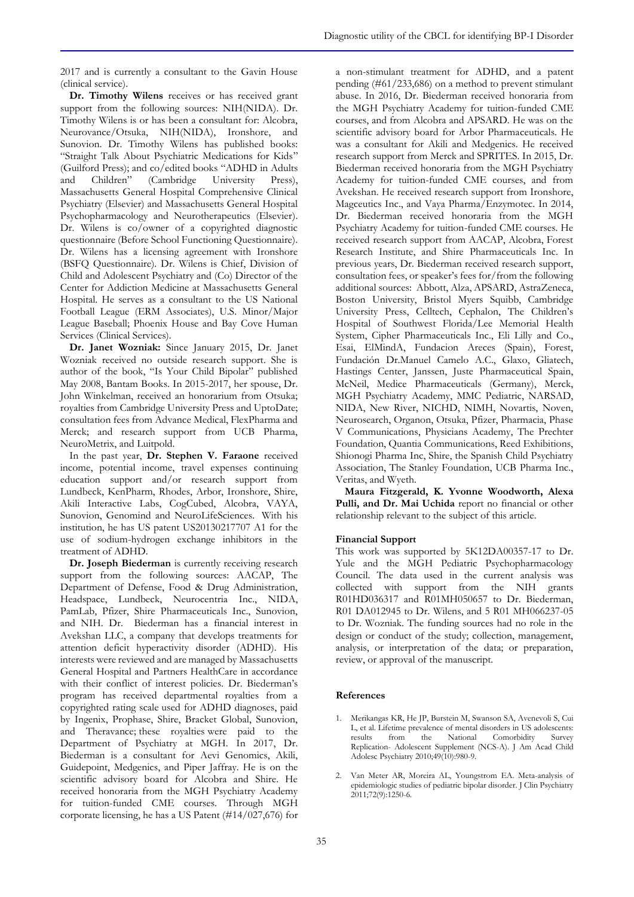**Dr. Timothy Wilens** receives or has received grant support from the following sources: NIH(NIDA). Dr. Timothy Wilens is or has been a consultant for: Alcobra, Neurovance/Otsuka, NIH(NIDA), Ironshore, and Sunovion. Dr. Timothy Wilens has published books: "Straight Talk About Psychiatric Medications for Kids" (Guilford Press); and co/edited books "ADHD in Adults and Children" (Cambridge University Press), Massachusetts General Hospital Comprehensive Clinical Psychiatry (Elsevier) and Massachusetts General Hospital Psychopharmacology and Neurotherapeutics (Elsevier). Dr. Wilens is co/owner of a copyrighted diagnostic questionnaire (Before School Functioning Questionnaire). Dr. Wilens has a licensing agreement with Ironshore (BSFQ Questionnaire)*.* Dr. Wilens is Chief, Division of Child and Adolescent Psychiatry and (Co) Director of the Center for Addiction Medicine at Massachusetts General Hospital. He serves as a consultant to the US National Football League (ERM Associates), U.S. Minor/Major League Baseball; Phoenix House and Bay Cove Human Services (Clinical Services).

**Dr. Janet Wozniak:** Since January 2015, Dr. Janet Wozniak received no outside research support. She is author of the book, "Is Your Child Bipolar" published May 2008, Bantam Books. In 2015-2017, her spouse, Dr. John Winkelman, received an honorarium from Otsuka; royalties from Cambridge University Press and UptoDate; consultation fees from Advance Medical, FlexPharma and Merck; and research support from UCB Pharma, NeuroMetrix, and Luitpold.

In the past year, **Dr. Stephen V. Faraone** received income, potential income, travel expenses continuing education support and/or research support from Lundbeck, KenPharm, Rhodes, Arbor, Ironshore, Shire, Akili Interactive Labs, CogCubed, Alcobra, VAYA, Sunovion, Genomind and NeuroLifeSciences. With his institution, he has US patent US20130217707 A1 for the use of sodium-hydrogen exchange inhibitors in the treatment of ADHD.

**Dr. Joseph Biederman** is currently receiving research support from the following sources: AACAP, The Department of Defense, Food & Drug Administration, Headspace, Lundbeck, Neurocentria Inc., NIDA, PamLab, Pfizer, Shire Pharmaceuticals Inc., Sunovion, and NIH. Dr. Biederman has a financial interest in Avekshan LLC, a company that develops treatments for attention deficit hyperactivity disorder (ADHD). His interests were reviewed and are managed by Massachusetts General Hospital and Partners HealthCare in accordance with their conflict of interest policies. Dr. Biederman's program has received departmental royalties from a copyrighted rating scale used for ADHD diagnoses, paid by Ingenix, Prophase, Shire, Bracket Global, Sunovion, and Theravance; these royalties were paid to the Department of Psychiatry at MGH. In 2017, Dr. Biederman is a consultant for Aevi Genomics, Akili, Guidepoint, Medgenics, and Piper Jaffray. He is on the scientific advisory board for Alcobra and Shire. He received honoraria from the MGH Psychiatry Academy for tuition-funded CME courses. Through MGH corporate licensing, he has a US Patent (#14/027,676) for

a non-stimulant treatment for ADHD, and a patent pending (#61/233,686) on a method to prevent stimulant abuse. In 2016, Dr. Biederman received honoraria from the MGH Psychiatry Academy for tuition-funded CME courses, and from Alcobra and APSARD. He was on the scientific advisory board for Arbor Pharmaceuticals. He was a consultant for Akili and Medgenics. He received research support from Merck and SPRITES. In 2015, Dr. Biederman received honoraria from the MGH Psychiatry Academy for tuition-funded CME courses, and from Avekshan. He received research support from Ironshore, Magceutics Inc., and Vaya Pharma/Enzymotec. In 2014, Dr. Biederman received honoraria from the MGH Psychiatry Academy for tuition-funded CME courses. He received research support from AACAP, Alcobra, Forest Research Institute, and Shire Pharmaceuticals Inc. In previous years, Dr. Biederman received research support, consultation fees, or speaker's fees for/from the following additional sources: Abbott, Alza, APSARD, AstraZeneca, Boston University, Bristol Myers Squibb, Cambridge University Press, Celltech, Cephalon, The Children's Hospital of Southwest Florida/Lee Memorial Health System, Cipher Pharmaceuticals Inc., Eli Lilly and Co., Esai, ElMindA, Fundacion Areces (Spain), Forest, Fundación Dr.Manuel Camelo A.C., Glaxo, Gliatech, Hastings Center, Janssen, Juste Pharmaceutical Spain, McNeil, Medice Pharmaceuticals (Germany), Merck, MGH Psychiatry Academy, MMC Pediatric, NARSAD, NIDA, New River, NICHD, NIMH, Novartis, Noven, Neurosearch, Organon, Otsuka, Pfizer, Pharmacia, Phase V Communications, Physicians Academy, The Prechter Foundation, Quantia Communications, Reed Exhibitions, Shionogi Pharma Inc, Shire, the Spanish Child Psychiatry Association, The Stanley Foundation, UCB Pharma Inc., Veritas, and Wyeth.

**Maura Fitzgerald, K. Yvonne Woodworth, Alexa Pulli, and Dr. Mai Uchida** report no financial or other relationship relevant to the subject of this article.

## **Financial Support**

This work was supported by 5K12DA00357-17 to Dr. Yule and the MGH Pediatric Psychopharmacology Council. The data used in the current analysis was collected with support from the NIH grants R01HD036317 and R01MH050657 to Dr. Biederman, R01 DA012945 to Dr. Wilens, and 5 R01 MH066237-05 to Dr. Wozniak. The funding sources had no role in the design or conduct of the study; collection, management, analysis, or interpretation of the data; or preparation, review, or approval of the manuscript.

## **References**

- 1. Merikangas KR, He JP, Burstein M, Swanson SA, Avenevoli S, Cui L, et al. Lifetime prevalence of mental disorders in US adolescents: results from the National Comorbidity Survey Replication- Adolescent Supplement (NCS-A). J Am Acad Child Adolesc Psychiatry 2010;49(10):980-9.
- 2. Van Meter AR, Moreira AL, Youngstrom EA. Meta-analysis of epidemiologic studies of pediatric bipolar disorder. J Clin Psychiatry 2011;72(9):1250-6.